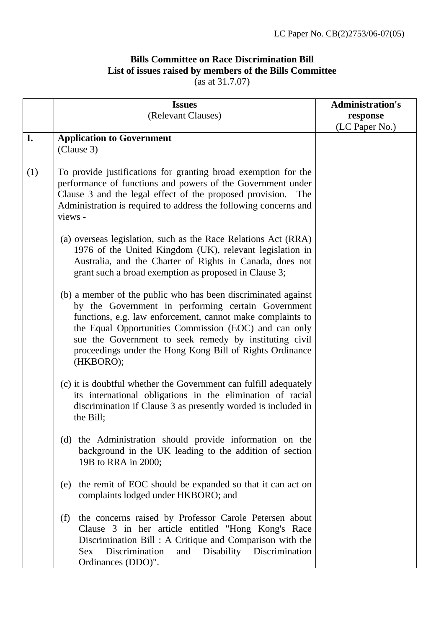## **Bills Committee on Race Discrimination Bill List of issues raised by members of the Bills Committee**

(as at 31.7.07)

|     | <b>Issues</b>                                                                                                                                                                                                                                                                                                                                                                 | <b>Administration's</b> |
|-----|-------------------------------------------------------------------------------------------------------------------------------------------------------------------------------------------------------------------------------------------------------------------------------------------------------------------------------------------------------------------------------|-------------------------|
|     | (Relevant Clauses)                                                                                                                                                                                                                                                                                                                                                            | response                |
|     |                                                                                                                                                                                                                                                                                                                                                                               | (LC Paper No.)          |
| I.  | <b>Application to Government</b><br>(Clause 3)                                                                                                                                                                                                                                                                                                                                |                         |
| (1) | To provide justifications for granting broad exemption for the<br>performance of functions and powers of the Government under<br>Clause 3 and the legal effect of the proposed provision.<br>The<br>Administration is required to address the following concerns and<br>views -                                                                                               |                         |
|     | (a) overseas legislation, such as the Race Relations Act (RRA)<br>1976 of the United Kingdom (UK), relevant legislation in<br>Australia, and the Charter of Rights in Canada, does not<br>grant such a broad exemption as proposed in Clause 3;                                                                                                                               |                         |
|     | (b) a member of the public who has been discriminated against<br>by the Government in performing certain Government<br>functions, e.g. law enforcement, cannot make complaints to<br>the Equal Opportunities Commission (EOC) and can only<br>sue the Government to seek remedy by instituting civil<br>proceedings under the Hong Kong Bill of Rights Ordinance<br>(HKBORO); |                         |
|     | (c) it is doubtful whether the Government can fulfill adequately<br>its international obligations in the elimination of racial<br>discrimination if Clause 3 as presently worded is included in<br>the Bill;                                                                                                                                                                  |                         |
|     | (d) the Administration should provide information on the<br>background in the UK leading to the addition of section<br>19B to RRA in 2000;                                                                                                                                                                                                                                    |                         |
|     | the remit of EOC should be expanded so that it can act on<br>(e)<br>complaints lodged under HKBORO; and                                                                                                                                                                                                                                                                       |                         |
|     | the concerns raised by Professor Carole Petersen about<br>(f)<br>Clause 3 in her article entitled "Hong Kong's Race<br>Discrimination Bill: A Critique and Comparison with the<br>Discrimination<br>and Disability Discrimination<br><b>Sex</b><br>Ordinances (DDO)".                                                                                                         |                         |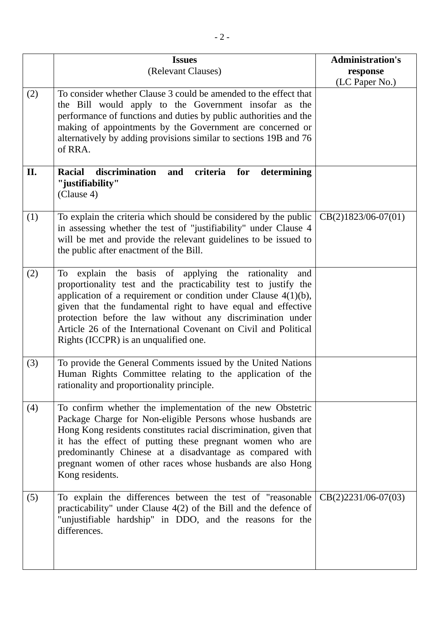|     | <b>Issues</b><br>(Relevant Clauses)                                                                                                                                                                                                                                                                                                                                                                                                           | <b>Administration's</b>    |
|-----|-----------------------------------------------------------------------------------------------------------------------------------------------------------------------------------------------------------------------------------------------------------------------------------------------------------------------------------------------------------------------------------------------------------------------------------------------|----------------------------|
|     |                                                                                                                                                                                                                                                                                                                                                                                                                                               | response<br>(LC Paper No.) |
| (2) | To consider whether Clause 3 could be amended to the effect that<br>the Bill would apply to the Government insofar as the<br>performance of functions and duties by public authorities and the<br>making of appointments by the Government are concerned or<br>alternatively by adding provisions similar to sections 19B and 76<br>of RRA.                                                                                                   |                            |
| II. | discrimination<br><b>Racial</b><br>criteria<br>for<br>and<br>determining<br>"justifiability"<br>(Clause 4)                                                                                                                                                                                                                                                                                                                                    |                            |
| (1) | To explain the criteria which should be considered by the public<br>in assessing whether the test of "justifiability" under Clause 4<br>will be met and provide the relevant guidelines to be issued to<br>the public after enactment of the Bill.                                                                                                                                                                                            | $CB(2)1823/06-07(01)$      |
| (2) | explain the basis of applying the rationality<br>To<br>and<br>proportionality test and the practicability test to justify the<br>application of a requirement or condition under Clause $4(1)(b)$ ,<br>given that the fundamental right to have equal and effective<br>protection before the law without any discrimination under<br>Article 26 of the International Covenant on Civil and Political<br>Rights (ICCPR) is an unqualified one. |                            |
| (3) | To provide the General Comments issued by the United Nations<br>Human Rights Committee relating to the application of the<br>rationality and proportionality principle.                                                                                                                                                                                                                                                                       |                            |
| (4) | To confirm whether the implementation of the new Obstetric<br>Package Charge for Non-eligible Persons whose husbands are<br>Hong Kong residents constitutes racial discrimination, given that<br>it has the effect of putting these pregnant women who are<br>predominantly Chinese at a disadvantage as compared with<br>pregnant women of other races whose husbands are also Hong<br>Kong residents.                                       |                            |
| (5) | To explain the differences between the test of "reasonable"<br>practicability" under Clause $4(2)$ of the Bill and the defence of<br>"unjustifiable hardship" in DDO, and the reasons for the<br>differences.                                                                                                                                                                                                                                 | $CB(2)2231/06-07(03)$      |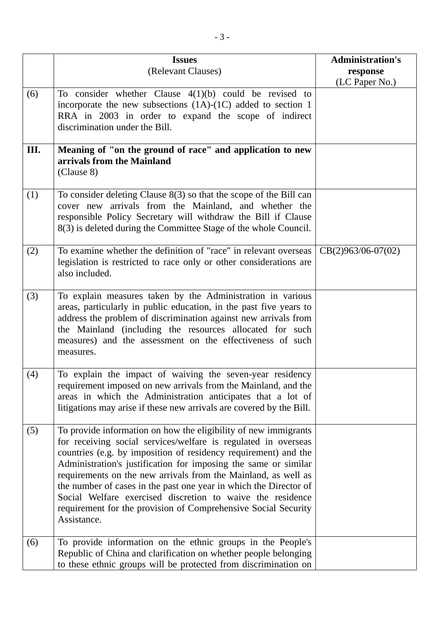|     | <b>Issues</b>                                                                                                                                                                                                                                                                                                                                                                                                                                                                                                                                                 | <b>Administration's</b>    |
|-----|---------------------------------------------------------------------------------------------------------------------------------------------------------------------------------------------------------------------------------------------------------------------------------------------------------------------------------------------------------------------------------------------------------------------------------------------------------------------------------------------------------------------------------------------------------------|----------------------------|
|     | (Relevant Clauses)                                                                                                                                                                                                                                                                                                                                                                                                                                                                                                                                            | response<br>(LC Paper No.) |
| (6) | To consider whether Clause $4(1)(b)$ could be revised to<br>incorporate the new subsections $(1A)-(1C)$ added to section 1<br>RRA in 2003 in order to expand the scope of indirect<br>discrimination under the Bill.                                                                                                                                                                                                                                                                                                                                          |                            |
| Ш.  | Meaning of "on the ground of race" and application to new<br>arrivals from the Mainland<br>(Clause 8)                                                                                                                                                                                                                                                                                                                                                                                                                                                         |                            |
| (1) | To consider deleting Clause $8(3)$ so that the scope of the Bill can<br>cover new arrivals from the Mainland, and whether the<br>responsible Policy Secretary will withdraw the Bill if Clause<br>8(3) is deleted during the Committee Stage of the whole Council.                                                                                                                                                                                                                                                                                            |                            |
| (2) | To examine whether the definition of "race" in relevant overseas<br>legislation is restricted to race only or other considerations are<br>also included.                                                                                                                                                                                                                                                                                                                                                                                                      | $CB(2)963/06-07(02)$       |
| (3) | To explain measures taken by the Administration in various<br>areas, particularly in public education, in the past five years to<br>address the problem of discrimination against new arrivals from<br>the Mainland (including the resources allocated for such<br>measures) and the assessment on the effectiveness of such<br>measures.                                                                                                                                                                                                                     |                            |
| (4) | To explain the impact of waiving the seven-year residency<br>requirement imposed on new arrivals from the Mainland, and the<br>areas in which the Administration anticipates that a lot of<br>litigations may arise if these new arrivals are covered by the Bill.                                                                                                                                                                                                                                                                                            |                            |
| (5) | To provide information on how the eligibility of new immigrants<br>for receiving social services/welfare is regulated in overseas<br>countries (e.g. by imposition of residency requirement) and the<br>Administration's justification for imposing the same or similar<br>requirements on the new arrivals from the Mainland, as well as<br>the number of cases in the past one year in which the Director of<br>Social Welfare exercised discretion to waive the residence<br>requirement for the provision of Comprehensive Social Security<br>Assistance. |                            |
| (6) | To provide information on the ethnic groups in the People's<br>Republic of China and clarification on whether people belonging<br>to these ethnic groups will be protected from discrimination on                                                                                                                                                                                                                                                                                                                                                             |                            |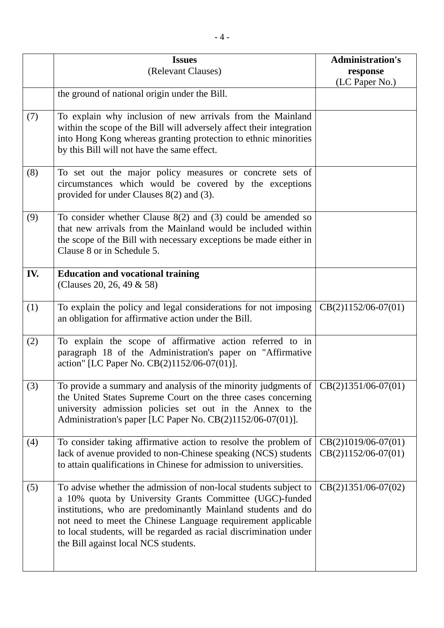|     | <b>Issues</b><br>(Relevant Clauses)                                                                                                                                                                                                                                                                                                                                       | <b>Administration's</b><br>response            |
|-----|---------------------------------------------------------------------------------------------------------------------------------------------------------------------------------------------------------------------------------------------------------------------------------------------------------------------------------------------------------------------------|------------------------------------------------|
|     |                                                                                                                                                                                                                                                                                                                                                                           | (LC Paper No.)                                 |
|     | the ground of national origin under the Bill.                                                                                                                                                                                                                                                                                                                             |                                                |
| (7) | To explain why inclusion of new arrivals from the Mainland<br>within the scope of the Bill will adversely affect their integration<br>into Hong Kong whereas granting protection to ethnic minorities<br>by this Bill will not have the same effect.                                                                                                                      |                                                |
| (8) | To set out the major policy measures or concrete sets of<br>circumstances which would be covered by the exceptions<br>provided for under Clauses $8(2)$ and (3).                                                                                                                                                                                                          |                                                |
| (9) | To consider whether Clause $8(2)$ and (3) could be amended so<br>that new arrivals from the Mainland would be included within<br>the scope of the Bill with necessary exceptions be made either in<br>Clause 8 or in Schedule 5.                                                                                                                                          |                                                |
| IV. | <b>Education and vocational training</b><br>(Clauses 20, 26, 49 & 58)                                                                                                                                                                                                                                                                                                     |                                                |
| (1) | To explain the policy and legal considerations for not imposing<br>an obligation for affirmative action under the Bill.                                                                                                                                                                                                                                                   | $CB(2)1152/06-07(01)$                          |
| (2) | To explain the scope of affirmative action referred to in<br>paragraph 18 of the Administration's paper on "Affirmative<br>action" [LC Paper No. CB(2)1152/06-07(01)].                                                                                                                                                                                                    |                                                |
| (3) | To provide a summary and analysis of the minority judgments of $ CB(2)1351/06-07(01)$<br>the United States Supreme Court on the three cases concerning<br>university admission policies set out in the Annex to the<br>Administration's paper [LC Paper No. CB(2)1152/06-07(01)].                                                                                         |                                                |
| (4) | To consider taking affirmative action to resolve the problem of<br>lack of avenue provided to non-Chinese speaking (NCS) students<br>to attain qualifications in Chinese for admission to universities.                                                                                                                                                                   | $CB(2)1019/06-07(01)$<br>$CB(2)1152/06-07(01)$ |
| (5) | To advise whether the admission of non-local students subject to<br>a 10% quota by University Grants Committee (UGC)-funded<br>institutions, who are predominantly Mainland students and do<br>not need to meet the Chinese Language requirement applicable<br>to local students, will be regarded as racial discrimination under<br>the Bill against local NCS students. | $CB(2)1351/06-07(02)$                          |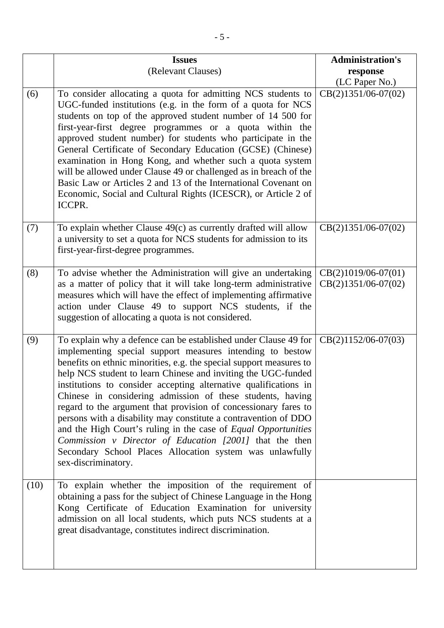|      | <b>Issues</b>                                                                                                                                                                                                                                                                                                                                                                                                                                                                                                                                                                                                                                                                                                                                                | <b>Administration's</b>                        |
|------|--------------------------------------------------------------------------------------------------------------------------------------------------------------------------------------------------------------------------------------------------------------------------------------------------------------------------------------------------------------------------------------------------------------------------------------------------------------------------------------------------------------------------------------------------------------------------------------------------------------------------------------------------------------------------------------------------------------------------------------------------------------|------------------------------------------------|
|      | (Relevant Clauses)                                                                                                                                                                                                                                                                                                                                                                                                                                                                                                                                                                                                                                                                                                                                           | response                                       |
|      |                                                                                                                                                                                                                                                                                                                                                                                                                                                                                                                                                                                                                                                                                                                                                              | (LC Paper No.)                                 |
| (6)  | To consider allocating a quota for admitting NCS students to<br>UGC-funded institutions (e.g. in the form of a quota for NCS<br>students on top of the approved student number of 14 500 for<br>first-year-first degree programmes or a quota within the<br>approved student number) for students who participate in the<br>General Certificate of Secondary Education (GCSE) (Chinese)<br>examination in Hong Kong, and whether such a quota system<br>will be allowed under Clause 49 or challenged as in breach of the<br>Basic Law or Articles 2 and 13 of the International Covenant on<br>Economic, Social and Cultural Rights (ICESCR), or Article 2 of<br>ICCPR.                                                                                     | $CB(2)1351/06-07(02)$                          |
| (7)  | To explain whether Clause $49(c)$ as currently drafted will allow<br>a university to set a quota for NCS students for admission to its<br>first-year-first-degree programmes.                                                                                                                                                                                                                                                                                                                                                                                                                                                                                                                                                                                | $CB(2)1351/06-07(02)$                          |
| (8)  | To advise whether the Administration will give an undertaking<br>as a matter of policy that it will take long-term administrative<br>measures which will have the effect of implementing affirmative<br>action under Clause 49 to support NCS students, if the<br>suggestion of allocating a quota is not considered.                                                                                                                                                                                                                                                                                                                                                                                                                                        | $CB(2)1019/06-07(01)$<br>$CB(2)1351/06-07(02)$ |
| (9)  | To explain why a defence can be established under Clause 49 for<br>implementing special support measures intending to bestow<br>benefits on ethnic minorities, e.g. the special support measures to<br>help NCS student to learn Chinese and inviting the UGC-funded<br>institutions to consider accepting alternative qualifications in<br>Chinese in considering admission of these students, having<br>regard to the argument that provision of concessionary fares to<br>persons with a disability may constitute a contravention of DDO<br>and the High Court's ruling in the case of Equal Opportunities<br>Commission v Director of Education [2001] that the then<br>Secondary School Places Allocation system was unlawfully<br>sex-discriminatory. | $CB(2)1152/06-07(03)$                          |
| (10) | To explain whether the imposition of the requirement of<br>obtaining a pass for the subject of Chinese Language in the Hong<br>Kong Certificate of Education Examination for university<br>admission on all local students, which puts NCS students at a<br>great disadvantage, constitutes indirect discrimination.                                                                                                                                                                                                                                                                                                                                                                                                                                         |                                                |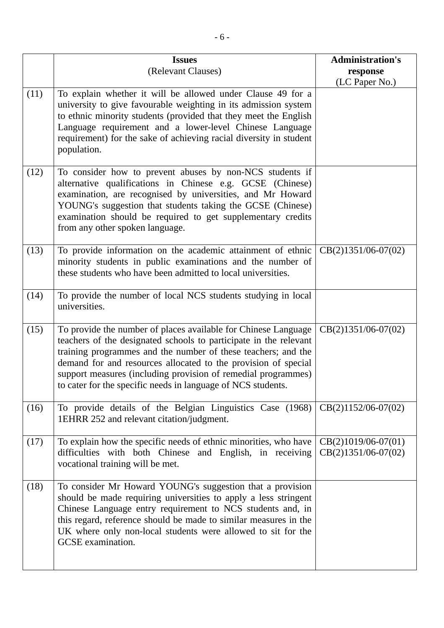|      | <b>Issues</b><br>(Relevant Clauses)                                                                                                                                                                                                                                                                                                                                                                     | <b>Administration's</b><br>response            |
|------|---------------------------------------------------------------------------------------------------------------------------------------------------------------------------------------------------------------------------------------------------------------------------------------------------------------------------------------------------------------------------------------------------------|------------------------------------------------|
|      |                                                                                                                                                                                                                                                                                                                                                                                                         | (LC Paper No.)                                 |
| (11) | To explain whether it will be allowed under Clause 49 for a<br>university to give favourable weighting in its admission system<br>to ethnic minority students (provided that they meet the English<br>Language requirement and a lower-level Chinese Language<br>requirement) for the sake of achieving racial diversity in student<br>population.                                                      |                                                |
| (12) | To consider how to prevent abuses by non-NCS students if<br>alternative qualifications in Chinese e.g. GCSE (Chinese)<br>examination, are recognised by universities, and Mr Howard<br>YOUNG's suggestion that students taking the GCSE (Chinese)<br>examination should be required to get supplementary credits<br>from any other spoken language.                                                     |                                                |
| (13) | To provide information on the academic attainment of ethnic<br>minority students in public examinations and the number of<br>these students who have been admitted to local universities.                                                                                                                                                                                                               | $CB(2)1351/06-07(02)$                          |
| (14) | To provide the number of local NCS students studying in local<br>universities.                                                                                                                                                                                                                                                                                                                          |                                                |
| (15) | To provide the number of places available for Chinese Language<br>teachers of the designated schools to participate in the relevant<br>training programmes and the number of these teachers; and the<br>demand for and resources allocated to the provision of special<br>support measures (including provision of remedial programmes)<br>to cater for the specific needs in language of NCS students. | $CB(2)1351/06-07(02)$                          |
| (16) | To provide details of the Belgian Linguistics Case (1968)<br>1EHRR 252 and relevant citation/judgment.                                                                                                                                                                                                                                                                                                  | $CB(2)1152/06-07(02)$                          |
| (17) | To explain how the specific needs of ethnic minorities, who have<br>difficulties with both Chinese and English, in receiving<br>vocational training will be met.                                                                                                                                                                                                                                        | $CB(2)1019/06-07(01)$<br>$CB(2)1351/06-07(02)$ |
| (18) | To consider Mr Howard YOUNG's suggestion that a provision<br>should be made requiring universities to apply a less stringent<br>Chinese Language entry requirement to NCS students and, in<br>this regard, reference should be made to similar measures in the<br>UK where only non-local students were allowed to sit for the<br>GCSE examination.                                                     |                                                |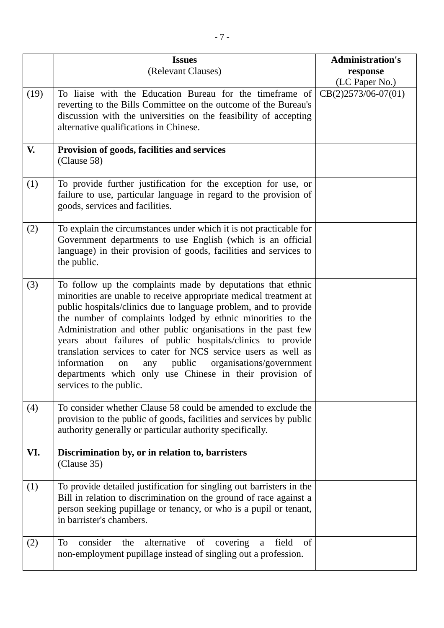|      | <b>Issues</b>                                                                                                                                                                                                                                                                                                                                                                                                                                                                                                                                                                                                                  | <b>Administration's</b> |
|------|--------------------------------------------------------------------------------------------------------------------------------------------------------------------------------------------------------------------------------------------------------------------------------------------------------------------------------------------------------------------------------------------------------------------------------------------------------------------------------------------------------------------------------------------------------------------------------------------------------------------------------|-------------------------|
|      | (Relevant Clauses)                                                                                                                                                                                                                                                                                                                                                                                                                                                                                                                                                                                                             | response                |
|      |                                                                                                                                                                                                                                                                                                                                                                                                                                                                                                                                                                                                                                | (LC Paper No.)          |
| (19) | To liaise with the Education Bureau for the timeframe of<br>reverting to the Bills Committee on the outcome of the Bureau's<br>discussion with the universities on the feasibility of accepting<br>alternative qualifications in Chinese.                                                                                                                                                                                                                                                                                                                                                                                      | $CB(2)2573/06-07(01)$   |
| V.   | Provision of goods, facilities and services<br>(Clause 58)                                                                                                                                                                                                                                                                                                                                                                                                                                                                                                                                                                     |                         |
| (1)  | To provide further justification for the exception for use, or<br>failure to use, particular language in regard to the provision of<br>goods, services and facilities.                                                                                                                                                                                                                                                                                                                                                                                                                                                         |                         |
| (2)  | To explain the circumstances under which it is not practicable for<br>Government departments to use English (which is an official<br>language) in their provision of goods, facilities and services to<br>the public.                                                                                                                                                                                                                                                                                                                                                                                                          |                         |
| (3)  | To follow up the complaints made by deputations that ethnic<br>minorities are unable to receive appropriate medical treatment at<br>public hospitals/clinics due to language problem, and to provide<br>the number of complaints lodged by ethnic minorities to the<br>Administration and other public organisations in the past few<br>years about failures of public hospitals/clinics to provide<br>translation services to cater for NCS service users as well as<br>information<br>public<br>organisations/government<br>any<br>on<br>departments which only use Chinese in their provision of<br>services to the public. |                         |
| (4)  | To consider whether Clause 58 could be amended to exclude the<br>provision to the public of goods, facilities and services by public<br>authority generally or particular authority specifically.                                                                                                                                                                                                                                                                                                                                                                                                                              |                         |
| VI.  | Discrimination by, or in relation to, barristers<br>(Clause 35)                                                                                                                                                                                                                                                                                                                                                                                                                                                                                                                                                                |                         |
| (1)  | To provide detailed justification for singling out barristers in the<br>Bill in relation to discrimination on the ground of race against a<br>person seeking pupillage or tenancy, or who is a pupil or tenant,<br>in barrister's chambers.                                                                                                                                                                                                                                                                                                                                                                                    |                         |
| (2)  | alternative<br>consider<br>of<br>To<br>the<br>covering<br>field<br>of<br>a<br>non-employment pupillage instead of singling out a profession.                                                                                                                                                                                                                                                                                                                                                                                                                                                                                   |                         |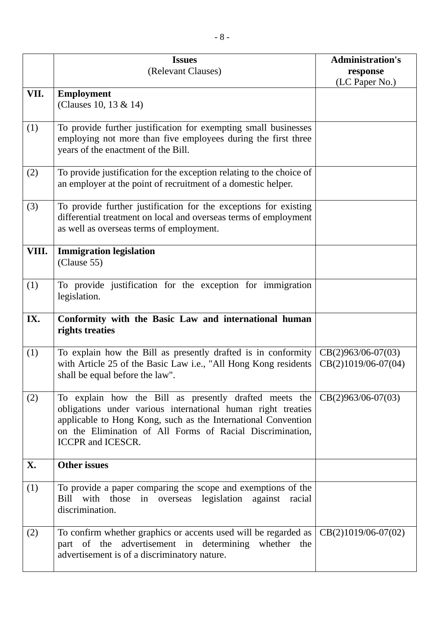|       | <b>Issues</b><br>(Relevant Clauses)                                                                                                                                                                                                                                                      | <b>Administration's</b><br>response           |
|-------|------------------------------------------------------------------------------------------------------------------------------------------------------------------------------------------------------------------------------------------------------------------------------------------|-----------------------------------------------|
|       |                                                                                                                                                                                                                                                                                          | (LC Paper No.)                                |
| VII.  | <b>Employment</b><br>(Clauses 10, 13 & 14)                                                                                                                                                                                                                                               |                                               |
| (1)   | To provide further justification for exempting small businesses<br>employing not more than five employees during the first three<br>years of the enactment of the Bill.                                                                                                                  |                                               |
| (2)   | To provide justification for the exception relating to the choice of<br>an employer at the point of recruitment of a domestic helper.                                                                                                                                                    |                                               |
| (3)   | To provide further justification for the exceptions for existing<br>differential treatment on local and overseas terms of employment<br>as well as overseas terms of employment.                                                                                                         |                                               |
| VIII. | <b>Immigration legislation</b><br>(Clause 55)                                                                                                                                                                                                                                            |                                               |
| (1)   | To provide justification for the exception for immigration<br>legislation.                                                                                                                                                                                                               |                                               |
| IX.   | Conformity with the Basic Law and international human<br>rights treaties                                                                                                                                                                                                                 |                                               |
| (1)   | To explain how the Bill as presently drafted is in conformity<br>with Article 25 of the Basic Law i.e., "All Hong Kong residents<br>shall be equal before the law".                                                                                                                      | $CB(2)963/06-07(03)$<br>$CB(2)1019/06-07(04)$ |
| (2)   | To explain how the Bill as presently drafted meets the<br>obligations under various international human right treaties<br>applicable to Hong Kong, such as the International Convention<br>on the Elimination of All Forms of Racial Discrimination,<br><b>ICCPR</b> and <b>ICESCR</b> . | $CB(2)963/06-07(03)$                          |
| X.    | <b>Other issues</b>                                                                                                                                                                                                                                                                      |                                               |
| (1)   | To provide a paper comparing the scope and exemptions of the<br>in overseas legislation against racial<br>Bill with those<br>discrimination.                                                                                                                                             |                                               |
| (2)   | To confirm whether graphics or accents used will be regarded as $ CB(2)1019/06-07(02) $<br>part of the advertisement in determining whether the<br>advertisement is of a discriminatory nature.                                                                                          |                                               |